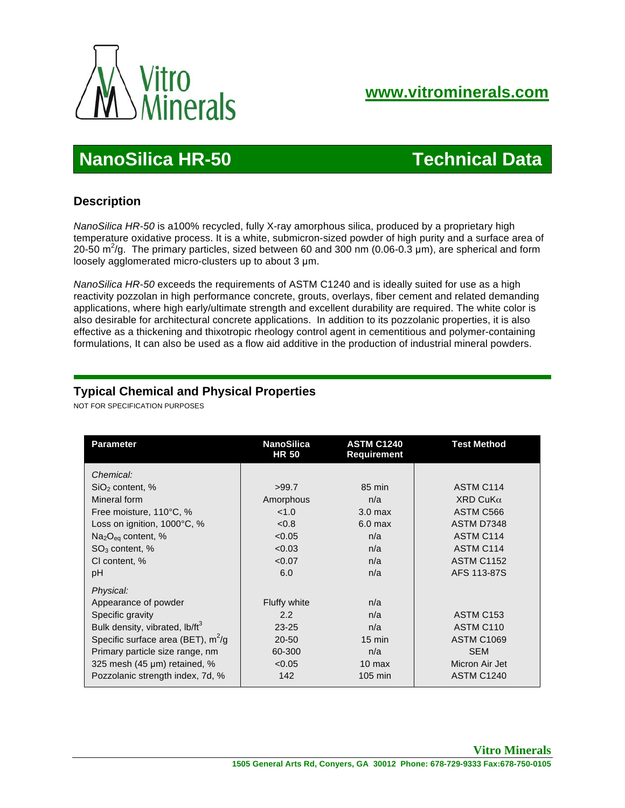

# **NanoSilica HR-50 Technical Data**

### **Description**

 *NanoSilica HR-50* is a100% recycled, fully X-ray amorphous silica, produced by a proprietary high temperature oxidative process. It is a white, submicron-sized powder of high purity and a surface area of 20-50 m<sup>2</sup>/g. The primary particles, sized between 60 and 300 nm (0.06-0.3 µm), are spherical and form loosely agglomerated micro-clusters up to about 3 µm.

 *NanoSilica HR-50* exceeds the requirements of ASTM C1240 and is ideally suited for use as a high reactivity pozzolan in high performance concrete, grouts, overlays, fiber cement and related demanding applications, where high early/ultimate strength and excellent durability are required. The white color is also desirable for architectural concrete applications. In addition to its pozzolanic properties, it is also effective as a thickening and thixotropic rheology control agent in cementitious and polymer-containing formulations, It can also be used as a flow aid additive in the production of industrial mineral powders.

## **Typical Chemical and Physical Properties**

NOT FOR SPECIFICATION PURPOSES

| <b>Parameter</b>                           | <b>NanoSilica</b><br><b>HR 50</b> | <b>ASTM C1240</b><br><b>Requirement</b> | <b>Test Method</b>    |
|--------------------------------------------|-----------------------------------|-----------------------------------------|-----------------------|
| Chemical:                                  |                                   |                                         |                       |
| $SiO2$ content, %                          | >99.7                             | 85 min                                  | ASTM C114             |
| Mineral form                               | Amorphous                         | n/a                                     | $XRD$ CuK $\alpha$    |
| Free moisture, 110°C, %                    | < 1.0                             | 3.0 <sub>max</sub>                      | ASTM C566             |
| Loss on ignition, 1000°C, %                | < 0.8                             | $6.0$ max                               | ASTM D7348            |
| $Na2Oeq$ content, %                        | < 0.05                            | n/a                                     | ASTM C114             |
| $SO3$ content, %                           | < 0.03                            | n/a                                     | ASTM C114             |
| CI content, %                              | < 0.07                            | n/a                                     | <b>ASTM C1152</b>     |
| pH                                         | 6.0                               | n/a                                     | AFS 113-87S           |
| Physical:                                  |                                   |                                         |                       |
| Appearance of powder                       | Fluffy white                      | n/a                                     |                       |
| Specific gravity                           | 2.2                               | n/a                                     | ASTM C <sub>153</sub> |
| Bulk density, vibrated, lb/ft <sup>3</sup> | $23 - 25$                         | n/a                                     | ASTM C110             |
| Specific surface area (BET), $m^2/g$       | $20 - 50$                         | $15 \text{ min}$                        | <b>ASTM C1069</b>     |
| Primary particle size range, nm            | 60-300                            | n/a                                     | <b>SEM</b>            |
| 325 mesh (45 µm) retained, %               | < 0.05                            | $10 \text{ max}$                        | Micron Air Jet        |
| Pozzolanic strength index, 7d, %           | 142                               | 105 min                                 | <b>ASTM C1240</b>     |